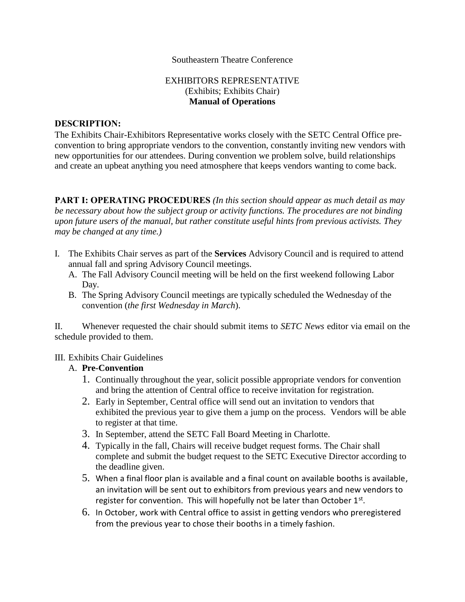#### Southeastern Theatre Conference

#### EXHIBITORS REPRESENTATIVE (Exhibits; Exhibits Chair) **Manual of Operations**

#### **DESCRIPTION:**

The Exhibits Chair-Exhibitors Representative works closely with the SETC Central Office preconvention to bring appropriate vendors to the convention, constantly inviting new vendors with new opportunities for our attendees. During convention we problem solve, build relationships and create an upbeat anything you need atmosphere that keeps vendors wanting to come back.

**PART I: OPERATING PROCEDURES** *(In this section should appear as much detail as may be necessary about how the subject group or activity functions. The procedures are not binding upon future users of the manual, but rather constitute useful hints from previous activists. They may be changed at any time.)*

- I. The Exhibits Chair serves as part of the **Services** Advisory Council and is required to attend annual fall and spring Advisory Council meetings.
	- A. The Fall Advisory Council meeting will be held on the first weekend following Labor Day.
	- B. The Spring Advisory Council meetings are typically scheduled the Wednesday of the convention (*the first Wednesday in March*).

II. Whenever requested the chair should submit items to *SETC News* editor via email on the schedule provided to them.

#### III. Exhibits Chair Guidelines

#### A. **Pre-Convention**

- 1. Continually throughout the year, solicit possible appropriate vendors for convention and bring the attention of Central office to receive invitation for registration.
- 2. Early in September, Central office will send out an invitation to vendors that exhibited the previous year to give them a jump on the process. Vendors will be able to register at that time.
- 3. In September, attend the SETC Fall Board Meeting in Charlotte.
- 4. Typically in the fall, Chairs will receive budget request forms. The Chair shall complete and submit the budget request to the SETC Executive Director according to the deadline given.
- 5. When a final floor plan is available and a final count on available booths is available, an invitation will be sent out to exhibitors from previous years and new vendors to register for convention. This will hopefully not be later than October  $1<sup>st</sup>$ .
- 6. In October, work with Central office to assist in getting vendors who preregistered from the previous year to chose their booths in a timely fashion.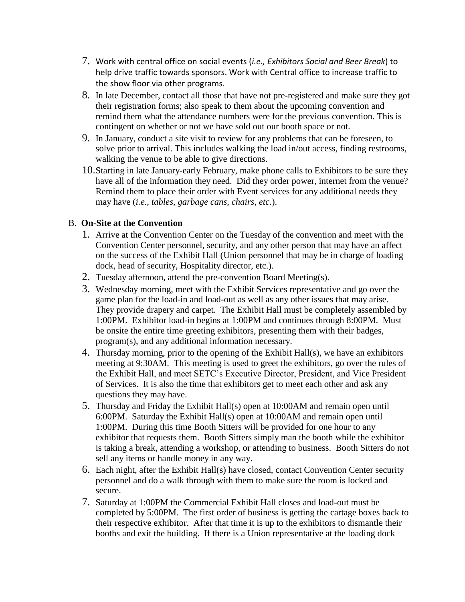- 7. Work with central office on social events (*i.e., Exhibitors Social and Beer Break*) to help drive traffic towards sponsors. Work with Central office to increase traffic to the show floor via other programs.
- 8. In late December, contact all those that have not pre-registered and make sure they got their registration forms; also speak to them about the upcoming convention and remind them what the attendance numbers were for the previous convention. This is contingent on whether or not we have sold out our booth space or not.
- 9. In January, conduct a site visit to review for any problems that can be foreseen, to solve prior to arrival. This includes walking the load in/out access, finding restrooms, walking the venue to be able to give directions.
- 10.Starting in late January-early February, make phone calls to Exhibitors to be sure they have all of the information they need. Did they order power, internet from the venue? Remind them to place their order with Event services for any additional needs they may have (*i.e., tables, garbage cans, chairs, etc.*).

### B. **On-Site at the Convention**

- 1. Arrive at the Convention Center on the Tuesday of the convention and meet with the Convention Center personnel, security, and any other person that may have an affect on the success of the Exhibit Hall (Union personnel that may be in charge of loading dock, head of security, Hospitality director, etc.).
- 2. Tuesday afternoon, attend the pre-convention Board Meeting(s).
- 3. Wednesday morning, meet with the Exhibit Services representative and go over the game plan for the load-in and load-out as well as any other issues that may arise. They provide drapery and carpet. The Exhibit Hall must be completely assembled by 1:00PM. Exhibitor load-in begins at 1:00PM and continues through 8:00PM. Must be onsite the entire time greeting exhibitors, presenting them with their badges, program(s), and any additional information necessary.
- 4. Thursday morning, prior to the opening of the Exhibit Hall(s), we have an exhibitors meeting at 9:30AM. This meeting is used to greet the exhibitors, go over the rules of the Exhibit Hall, and meet SETC's Executive Director, President, and Vice President of Services. It is also the time that exhibitors get to meet each other and ask any questions they may have.
- 5. Thursday and Friday the Exhibit Hall(s) open at 10:00AM and remain open until 6:00PM. Saturday the Exhibit Hall(s) open at 10:00AM and remain open until 1:00PM. During this time Booth Sitters will be provided for one hour to any exhibitor that requests them. Booth Sitters simply man the booth while the exhibitor is taking a break, attending a workshop, or attending to business. Booth Sitters do not sell any items or handle money in any way.
- 6. Each night, after the Exhibit Hall(s) have closed, contact Convention Center security personnel and do a walk through with them to make sure the room is locked and secure.
- 7. Saturday at 1:00PM the Commercial Exhibit Hall closes and load-out must be completed by 5:00PM. The first order of business is getting the cartage boxes back to their respective exhibitor. After that time it is up to the exhibitors to dismantle their booths and exit the building. If there is a Union representative at the loading dock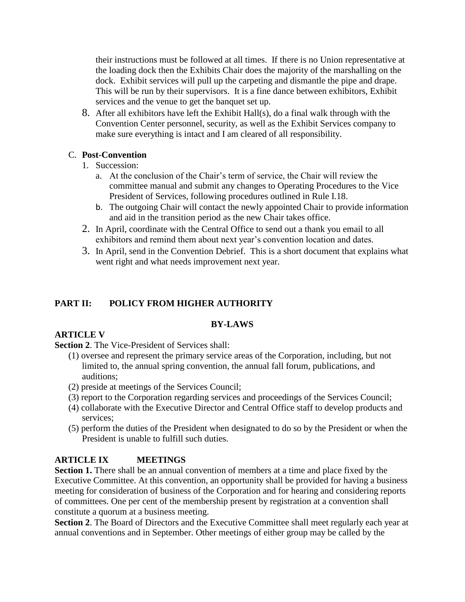their instructions must be followed at all times. If there is no Union representative at the loading dock then the Exhibits Chair does the majority of the marshalling on the dock. Exhibit services will pull up the carpeting and dismantle the pipe and drape. This will be run by their supervisors. It is a fine dance between exhibitors, Exhibit services and the venue to get the banquet set up.

8. After all exhibitors have left the Exhibit Hall(s), do a final walk through with the Convention Center personnel, security, as well as the Exhibit Services company to make sure everything is intact and I am cleared of all responsibility.

## C. **Post-Convention**

- 1. Succession:
	- a. At the conclusion of the Chair's term of service, the Chair will review the committee manual and submit any changes to Operating Procedures to the Vice President of Services, following procedures outlined in Rule I.18.
	- b. The outgoing Chair will contact the newly appointed Chair to provide information and aid in the transition period as the new Chair takes office.
- 2. In April, coordinate with the Central Office to send out a thank you email to all exhibitors and remind them about next year's convention location and dates.
- 3. In April, send in the Convention Debrief. This is a short document that explains what went right and what needs improvement next year.

## **PART II: POLICY FROM HIGHER AUTHORITY**

### **BY-LAWS**

## **ARTICLE V**

**Section 2**. The Vice-President of Services shall:

- (1) oversee and represent the primary service areas of the Corporation, including, but not limited to, the annual spring convention, the annual fall forum, publications, and auditions;
- (2) preside at meetings of the Services Council;
- (3) report to the Corporation regarding services and proceedings of the Services Council;
- (4) collaborate with the Executive Director and Central Office staff to develop products and services;
- (5) perform the duties of the President when designated to do so by the President or when the President is unable to fulfill such duties.

## **ARTICLE IX MEETINGS**

**Section 1.** There shall be an annual convention of members at a time and place fixed by the Executive Committee. At this convention, an opportunity shall be provided for having a business meeting for consideration of business of the Corporation and for hearing and considering reports of committees. One per cent of the membership present by registration at a convention shall constitute a quorum at a business meeting.

**Section 2**. The Board of Directors and the Executive Committee shall meet regularly each year at annual conventions and in September. Other meetings of either group may be called by the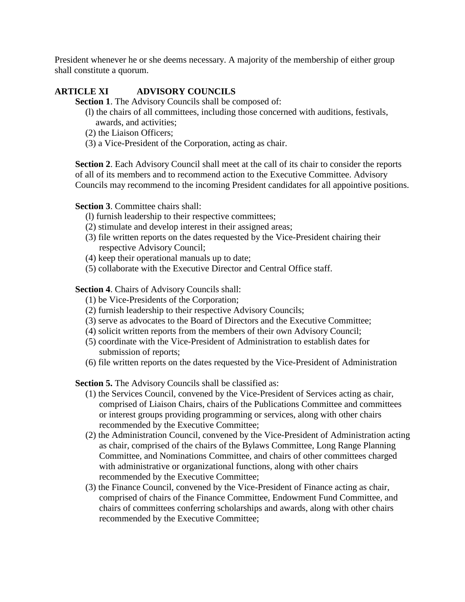President whenever he or she deems necessary. A majority of the membership of either group shall constitute a quorum.

## **ARTICLE XI ADVISORY COUNCILS**

**Section 1**. The Advisory Councils shall be composed of:

- (l) the chairs of all committees, including those concerned with auditions, festivals, awards, and activities;
- (2) the Liaison Officers;
- (3) a Vice-President of the Corporation, acting as chair.

**Section 2**. Each Advisory Council shall meet at the call of its chair to consider the reports of all of its members and to recommend action to the Executive Committee. Advisory Councils may recommend to the incoming President candidates for all appointive positions.

#### **Section 3**. Committee chairs shall:

- (l) furnish leadership to their respective committees;
- (2) stimulate and develop interest in their assigned areas;
- (3) file written reports on the dates requested by the Vice-President chairing their respective Advisory Council;
- (4) keep their operational manuals up to date;
- (5) collaborate with the Executive Director and Central Office staff.

**Section 4**. Chairs of Advisory Councils shall:

- (1) be Vice-Presidents of the Corporation;
- (2) furnish leadership to their respective Advisory Councils;
- (3) serve as advocates to the Board of Directors and the Executive Committee;
- (4) solicit written reports from the members of their own Advisory Council;
- (5) coordinate with the Vice-President of Administration to establish dates for submission of reports;
- (6) file written reports on the dates requested by the Vice-President of Administration

**Section 5.** The Advisory Councils shall be classified as:

- (1) the Services Council, convened by the Vice-President of Services acting as chair, comprised of Liaison Chairs, chairs of the Publications Committee and committees or interest groups providing programming or services, along with other chairs recommended by the Executive Committee;
- (2) the Administration Council, convened by the Vice-President of Administration acting as chair, comprised of the chairs of the Bylaws Committee, Long Range Planning Committee, and Nominations Committee, and chairs of other committees charged with administrative or organizational functions, along with other chairs recommended by the Executive Committee;
- (3) the Finance Council, convened by the Vice-President of Finance acting as chair, comprised of chairs of the Finance Committee, Endowment Fund Committee, and chairs of committees conferring scholarships and awards, along with other chairs recommended by the Executive Committee;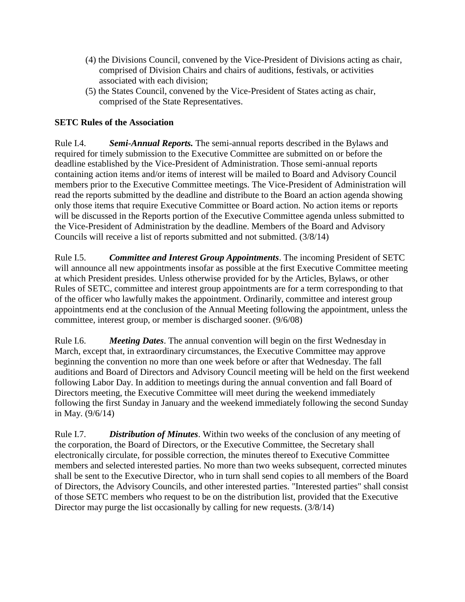- (4) the Divisions Council, convened by the Vice-President of Divisions acting as chair, comprised of Division Chairs and chairs of auditions, festivals, or activities associated with each division;
- (5) the States Council, convened by the Vice-President of States acting as chair, comprised of the State Representatives.

## **SETC Rules of the Association**

Rule I.4. *Semi-Annual Reports.* The semi-annual reports described in the Bylaws and required for timely submission to the Executive Committee are submitted on or before the deadline established by the Vice-President of Administration. Those semi-annual reports containing action items and/or items of interest will be mailed to Board and Advisory Council members prior to the Executive Committee meetings. The Vice-President of Administration will read the reports submitted by the deadline and distribute to the Board an action agenda showing only those items that require Executive Committee or Board action. No action items or reports will be discussed in the Reports portion of the Executive Committee agenda unless submitted to the Vice-President of Administration by the deadline. Members of the Board and Advisory Councils will receive a list of reports submitted and not submitted. (3/8/14)

Rule I.5. *Committee and Interest Group Appointments*. The incoming President of SETC will announce all new appointments insofar as possible at the first Executive Committee meeting at which President presides. Unless otherwise provided for by the Articles, Bylaws, or other Rules of SETC, committee and interest group appointments are for a term corresponding to that of the officer who lawfully makes the appointment. Ordinarily, committee and interest group appointments end at the conclusion of the Annual Meeting following the appointment, unless the committee, interest group, or member is discharged sooner. (9/6/08)

Rule I.6. *Meeting Dates*. The annual convention will begin on the first Wednesday in March, except that, in extraordinary circumstances, the Executive Committee may approve beginning the convention no more than one week before or after that Wednesday. The fall auditions and Board of Directors and Advisory Council meeting will be held on the first weekend following Labor Day. In addition to meetings during the annual convention and fall Board of Directors meeting, the Executive Committee will meet during the weekend immediately following the first Sunday in January and the weekend immediately following the second Sunday in May. (9/6/14)

Rule I.7. *Distribution of Minutes*. Within two weeks of the conclusion of any meeting of the corporation, the Board of Directors, or the Executive Committee, the Secretary shall electronically circulate, for possible correction, the minutes thereof to Executive Committee members and selected interested parties. No more than two weeks subsequent, corrected minutes shall be sent to the Executive Director, who in turn shall send copies to all members of the Board of Directors, the Advisory Councils, and other interested parties. "Interested parties" shall consist of those SETC members who request to be on the distribution list, provided that the Executive Director may purge the list occasionally by calling for new requests. (3/8/14)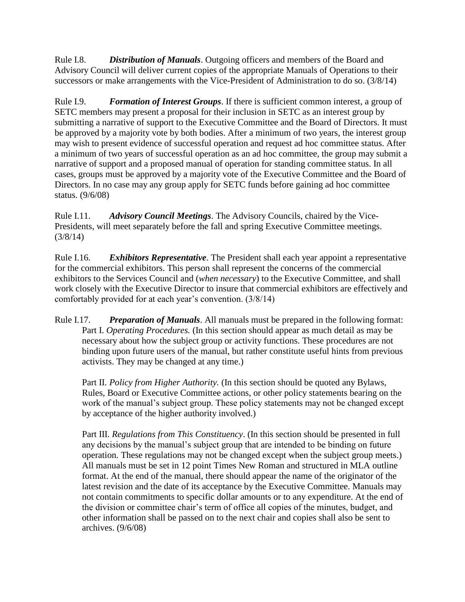Rule I.8. *Distribution of Manuals*. Outgoing officers and members of the Board and Advisory Council will deliver current copies of the appropriate Manuals of Operations to their successors or make arrangements with the Vice-President of Administration to do so. (3/8/14)

Rule I.9. *Formation of Interest Groups*. If there is sufficient common interest, a group of SETC members may present a proposal for their inclusion in SETC as an interest group by submitting a narrative of support to the Executive Committee and the Board of Directors. It must be approved by a majority vote by both bodies. After a minimum of two years, the interest group may wish to present evidence of successful operation and request ad hoc committee status. After a minimum of two years of successful operation as an ad hoc committee, the group may submit a narrative of support and a proposed manual of operation for standing committee status. In all cases, groups must be approved by a majority vote of the Executive Committee and the Board of Directors. In no case may any group apply for SETC funds before gaining ad hoc committee status. (9/6/08)

Rule I.11. *Advisory Council Meetings*. The Advisory Councils, chaired by the Vice-Presidents, will meet separately before the fall and spring Executive Committee meetings. (3/8/14)

Rule I.16. *Exhibitors Representative*. The President shall each year appoint a representative for the commercial exhibitors. This person shall represent the concerns of the commercial exhibitors to the Services Council and (*when necessary*) to the Executive Committee, and shall work closely with the Executive Director to insure that commercial exhibitors are effectively and comfortably provided for at each year's convention. (3/8/14)

Rule I.17. *Preparation of Manuals*. All manuals must be prepared in the following format: Part I. *Operating Procedures.* (In this section should appear as much detail as may be necessary about how the subject group or activity functions. These procedures are not binding upon future users of the manual, but rather constitute useful hints from previous activists. They may be changed at any time.)

Part II. *Policy from Higher Authority.* (In this section should be quoted any Bylaws, Rules, Board or Executive Committee actions, or other policy statements bearing on the work of the manual's subject group. These policy statements may not be changed except by acceptance of the higher authority involved.)

Part III. *Regulations from This Constituency*. (In this section should be presented in full any decisions by the manual's subject group that are intended to be binding on future operation. These regulations may not be changed except when the subject group meets.) All manuals must be set in 12 point Times New Roman and structured in MLA outline format. At the end of the manual, there should appear the name of the originator of the latest revision and the date of its acceptance by the Executive Committee. Manuals may not contain commitments to specific dollar amounts or to any expenditure. At the end of the division or committee chair's term of office all copies of the minutes, budget, and other information shall be passed on to the next chair and copies shall also be sent to archives. (9/6/08)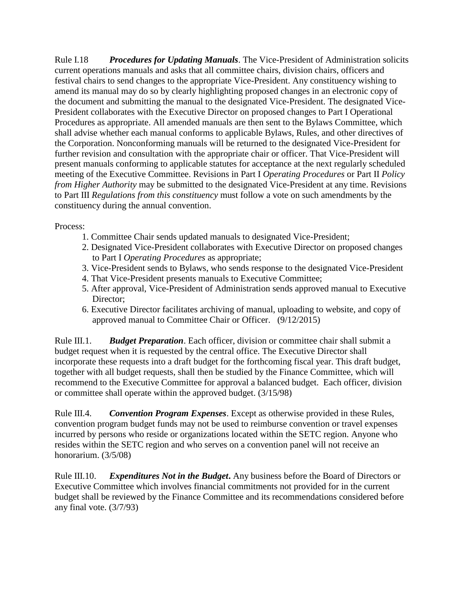Rule I.18 *Procedures for Updating Manuals*. The Vice-President of Administration solicits current operations manuals and asks that all committee chairs, division chairs, officers and festival chairs to send changes to the appropriate Vice-President. Any constituency wishing to amend its manual may do so by clearly highlighting proposed changes in an electronic copy of the document and submitting the manual to the designated Vice-President. The designated Vice-President collaborates with the Executive Director on proposed changes to Part I Operational Procedures as appropriate. All amended manuals are then sent to the Bylaws Committee, which shall advise whether each manual conforms to applicable Bylaws, Rules, and other directives of the Corporation. Nonconforming manuals will be returned to the designated Vice-President for further revision and consultation with the appropriate chair or officer. That Vice-President will present manuals conforming to applicable statutes for acceptance at the next regularly scheduled meeting of the Executive Committee. Revisions in Part I *Operating Procedures* or Part II *Policy from Higher Authority* may be submitted to the designated Vice-President at any time. Revisions to Part III *Regulations from this constituency* must follow a vote on such amendments by the constituency during the annual convention.

### Process:

- 1. Committee Chair sends updated manuals to designated Vice-President;
- 2. Designated Vice-President collaborates with Executive Director on proposed changes to Part I *Operating Procedures* as appropriate;
- 3. Vice-President sends to Bylaws, who sends response to the designated Vice-President
- 4. That Vice-President presents manuals to Executive Committee;
- 5. After approval, Vice-President of Administration sends approved manual to Executive Director:
- 6. Executive Director facilitates archiving of manual, uploading to website, and copy of approved manual to Committee Chair or Officer. (9/12/2015)

Rule III.1. *Budget Preparation*. Each officer, division or committee chair shall submit a budget request when it is requested by the central office. The Executive Director shall incorporate these requests into a draft budget for the forthcoming fiscal year. This draft budget, together with all budget requests, shall then be studied by the Finance Committee, which will recommend to the Executive Committee for approval a balanced budget. Each officer, division or committee shall operate within the approved budget. (3/15/98)

Rule III.4. *Convention Program Expenses*. Except as otherwise provided in these Rules, convention program budget funds may not be used to reimburse convention or travel expenses incurred by persons who reside or organizations located within the SETC region. Anyone who resides within the SETC region and who serves on a convention panel will not receive an honorarium. (3/5/08)

Rule III.10. *Expenditures Not in the Budget***.** Any business before the Board of Directors or Executive Committee which involves financial commitments not provided for in the current budget shall be reviewed by the Finance Committee and its recommendations considered before any final vote. (3/7/93)